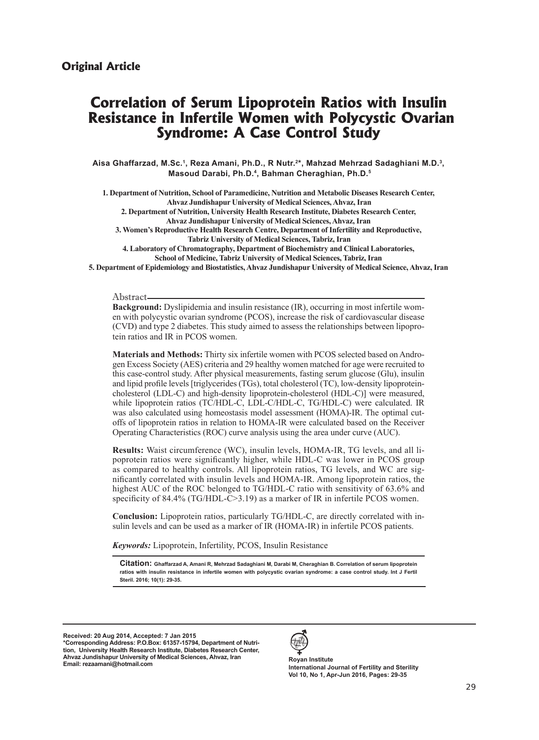# **Correlation of Serum Lipoprotein Ratios with Insulin Resistance in Infertile Women with Polycystic Ovarian Syndrome: A Case Control Study**

**Aisa Ghaffarzad, M.Sc.1, Reza Amani, Ph.D., R Nutr.2\*, Mahzad Mehrzad Sadaghiani M.D.3, Masoud Darabi, Ph.D.4, Bahman Cheraghian, Ph.D.5**

**1. Department of Nutrition, School of Paramedicine, Nutrition and Metabolic Diseases Research Center, Ahvaz Jundishapur University of Medical Sciences, Ahvaz, Iran 2. Department of Nutrition, University Health Research Institute, Diabetes Research Center, Ahvaz Jundishapur University of Medical Sciences, Ahvaz, Iran 3. Women's Reproductive Health Research Centre, Department of Infertility and Reproductive, Tabriz University of Medical Sciences, Tabriz, Iran 4. Laboratory of Chromatography, Department of Biochemistry and Clinical Laboratories,** 

**School of Medicine, Tabriz University of Medical Sciences, Tabriz, Iran 5. Department of Epidemiology and Biostatistics, Ahvaz Jundishapur University of Medical Science, Ahvaz, Iran**

## Abstract

**Background:** Dyslipidemia and insulin resistance (IR), occurring in most infertile women with polycystic ovarian syndrome (PCOS), increase the risk of cardiovascular disease (CVD) and type 2 diabetes. This study aimed to assess the relationships between lipoprotein ratios and IR in PCOS women.

**Materials and Methods:** Thirty six infertile women with PCOS selected based on Androgen Excess Society (AES) criteria and 29 healthy women matched for age were recruited to this case-control study. After physical measurements, fasting serum glucose (Glu), insulin and lipid profile levels [triglycerides (TGs), total cholesterol (TC), low-density lipoproteincholesterol (LDL-C) and high-density lipoprotein-cholesterol (HDL-C)] were measured, while lipoprotein ratios (TC/HDL-C, LDL-C/HDL-C, TG/HDL-C) were calculated. IR was also calculated using homeostasis model assessment (HOMA)-IR. The optimal cutoffs of lipoprotein ratios in relation to HOMA-IR were calculated based on the Receiver Operating Characteristics (ROC) curve analysis using the area under curve (AUC).

**Results:** Waist circumference (WC), insulin levels, HOMA-IR, TG levels, and all lipoprotein ratios were significantly higher, while HDL-C was lower in PCOS group as compared to healthy controls. All lipoprotein ratios, TG levels, and WC are significantly correlated with insulin levels and HOMA-IR. Among lipoprotein ratios, the highest AUC of the ROC belonged to TG/HDL-C ratio with sensitivity of 63.6% and specificity of 84.4% (TG/HDL-C>3.19) as a marker of IR in infertile PCOS women.

**Conclusion:** Lipoprotein ratios, particularly TG/HDL-C, are directly correlated with insulin levels and can be used as a marker of IR (HOMA-IR) in infertile PCOS patients.

*Keywords:* Lipoprotein, Infertility, PCOS, Insulin Resistance

**Citation: Ghaffarzad A, Amani R, Mehrzad Sadaghiani M, Darabi M, Cheraghian B. Correlation of serum lipoprotein ratios with insulin resistance in infertile women with polycystic ovarian syndrome: a case control study. Int J Fertil Steril. 2016; 10(1): 29-35.**

**Received: 20 Aug 2014, Accepted: 7 Jan 2015 \*Corresponding Address: P.O.Box: 61357-15794, Department of Nutrition, University Health Research Institute, Diabetes Research Center, Ahvaz Jundishapur University of Medical Sciences, Ahvaz, Iran Email: rezaamani@hotmail.com Royan Institute**



**International Journal of Fertility and Sterility Vol 10, No 1, Apr-Jun 2016, Pages: 29-35**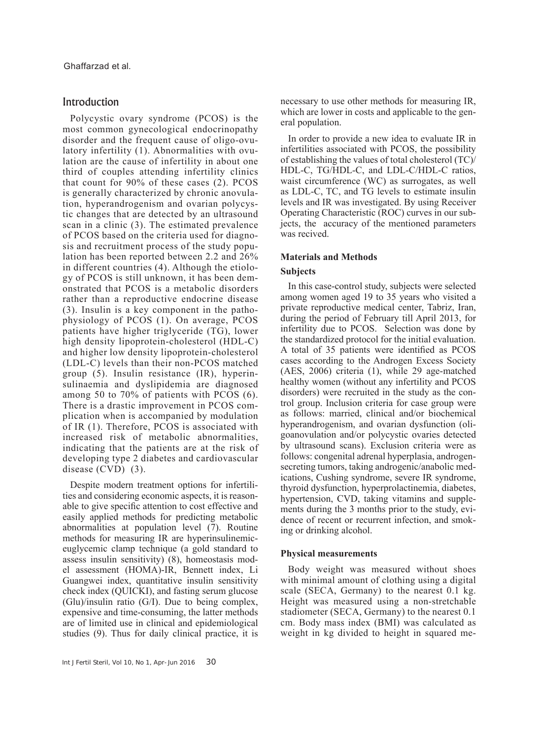# Introduction

Polycystic ovary syndrome (PCOS) is the most common gynecological endocrinopathy disorder and the frequent cause of oligo-ovulatory infertility (1). Abnormalities with ovulation are the cause of infertility in about one third of couples attending infertility clinics that count for 90% of these cases (2). PCOS is generally characterized by chronic anovulation, hyperandrogenism and ovarian polycystic changes that are detected by an ultrasound scan in a clinic (3). The estimated prevalence of PCOS based on the criteria used for diagnosis and recruitment process of the study population has been reported between 2.2 and 26% in different countries (4). Although the etiology of PCOS is still unknown, it has been demonstrated that PCOS is a metabolic disorders rather than a reproductive endocrine disease (3). Insulin is a key component in the pathophysiology of PCOS (1). On average, PCOS patients have higher triglyceride (TG), lower high density lipoprotein-cholesterol (HDL-C) and higher low density lipoprotein-cholesterol (LDL-C) levels than their non-PCOS matched group (5). Insulin resistance (IR), hyperinsulinaemia and dyslipidemia are diagnosed among 50 to 70% of patients with PCOS (6). There is a drastic improvement in PCOS complication when is accompanied by modulation of IR (1). Therefore, PCOS is associated with increased risk of metabolic abnormalities, indicating that the patients are at the risk of developing type 2 diabetes and cardiovascular disease (CVD) (3).

Despite modern treatment options for infertilities and considering economic aspects, it is reasonable to give specific attention to cost effective and easily applied methods for predicting metabolic abnormalities at population level (7). Routine methods for measuring IR are hyperinsulinemiceuglycemic clamp technique (a gold standard to assess insulin sensitivity) (8), homeostasis model assessment (HOMA)-IR, Bennett index, Li Guangwei index, quantitative insulin sensitivity check index (QUICKI), and fasting serum glucose (Glu)/insulin ratio (G/I). Due to being complex, expensive and time-consuming, the latter methods are of limited use in clinical and epidemiological studies (9). Thus for daily clinical practice, it is

necessary to use other methods for measuring IR, which are lower in costs and applicable to the general population.

In order to provide a new idea to evaluate IR in infertilities associated with PCOS, the possibility of establishing the values of total cholesterol (TC)/ HDL-C, TG/HDL-C, and LDL-C/HDL-C ratios, waist circumference (WC) as surrogates, as well as LDL-C, TC, and TG levels to estimate insulin levels and IR was investigated. By using Receiver Operating Characteristic (ROC) curves in our subjects, the accuracy of the mentioned parameters was recived.

## **Materials and Methods**

### **Subjects**

In this case-control study, subjects were selected among women aged 19 to 35 years who visited a private reproductive medical center, Tabriz, Iran, during the period of February till April 2013, for infertility due to PCOS. Selection was done by the standardized protocol for the initial evaluation. A total of 35 patients were identified as PCOS cases according to the Androgen Excess Society (AES, 2006) criteria (1), while 29 age-matched healthy women (without any infertility and PCOS disorders) were recruited in the study as the control group. Inclusion criteria for case group were as follows: married, clinical and/or biochemical hyperandrogenism, and ovarian dysfunction (oligoanovulation and/or polycystic ovaries detected by ultrasound scans). Exclusion criteria were as follows: congenital adrenal hyperplasia, androgensecreting tumors, taking androgenic/anabolic medications, Cushing syndrome, severe IR syndrome, thyroid dysfunction, hyperprolactinemia, diabetes, hypertension, CVD, taking vitamins and supplements during the 3 months prior to the study, evidence of recent or recurrent infection, and smoking or drinking alcohol.

#### **Physical measurements**

Body weight was measured without shoes with minimal amount of clothing using a digital scale (SECA, Germany) to the nearest 0.1 kg. Height was measured using a non-stretchable stadiometer (SECA, Germany) to the nearest 0.1 cm. Body mass index (BMI) was calculated as weight in kg divided to height in squared me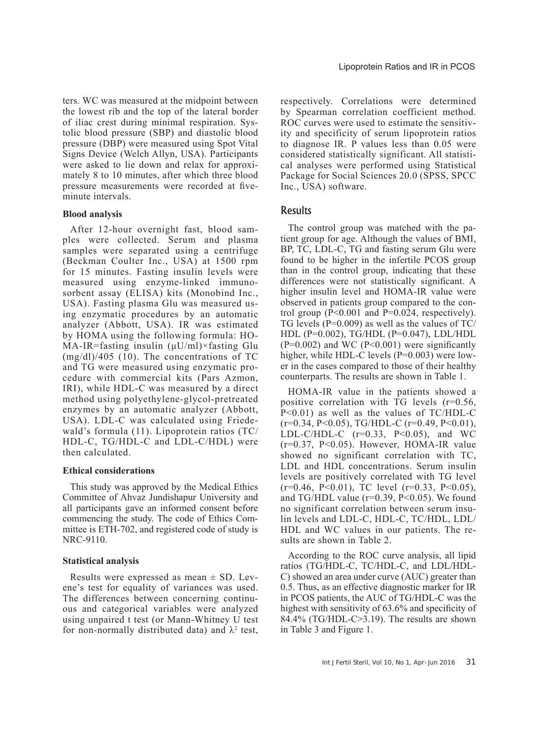ters. WC was measured at the midpoint between the lowest rib and the top of the lateral border of iliac crest during minimal respiration. Systolic blood pressure (SBP) and diastolic blood pressure (DBP) were measured using Spot Vital Signs Device (Welch Allyn, USA). Participants were asked to lie down and relax for approximately 8 to 10 minutes, after which three blood pressure measurements were recorded at fiveminute intervals.

#### **Blood analysis**

After 12-hour overnight fast, blood samples were collected. Serum and plasma samples were separated using a centrifuge (Beckman Coulter Inc., USA) at 1500 rpm for 15 minutes. Fasting insulin levels were measured using enzyme-linked immunosorbent assay (ELISA) kits (Monobind Inc., USA). Fasting plasma Glu was measured using enzymatic procedures by an automatic analyzer (Abbott, USA). IR was estimated by HOMA using the following formula: HO-MA-IR=fasting insulin  $(\mu U/ml) \times$ fasting Glu (mg/dl)/405 (10). The concentrations of TC and TG were measured using enzymatic procedure with commercial kits (Pars Azmon, IRI), while HDL-C was measured by a direct method using polyethylene-glycol-pretreated enzymes by an automatic analyzer (Abbott, USA). LDL-C was calculated using Friedewald's formula (11). Lipoprotein ratios (TC/ HDL-C, TG/HDL-C and LDL-C/HDL) were then calculated.

#### **Ethical considerations**

This study was approved by the Medical Ethics Committee of Ahvaz Jundishapur University and all participants gave an informed consent before commencing the study. The code of Ethics Committee is ETH-702, and registered code of study is NRC-9110.

## **Statistical analysis**

Results were expressed as mean  $\pm$  SD. Levene's test for equality of variances was used. The differences between concerning continuous and categorical variables were analyzed using unpaired t test (or Mann-Whitney U test for non-normally distributed data) and  $\lambda^2$  test, respectively. Correlations were determined by Spearman correlation coefficient method. ROC curves were used to estimate the sensitivity and specificity of serum lipoprotein ratios to diagnose IR. P values less than 0.05 were considered statistically significant. All statistical analyses were performed using Statistical Package for Social Sciences 20.0 (SPSS, SPCC Inc., USA) software.

# Results

The control group was matched with the patient group for age. Although the values of BMI, BP, TC, LDL-C, TG and fasting serum Glu were found to be higher in the infertile PCOS group than in the control group, indicating that these differences were not statistically significant. A higher insulin level and HOMA-IR value were observed in patients group compared to the control group  $(P<0.001$  and  $P=0.024$ , respectively). TG levels ( $P=0.009$ ) as well as the values of TC/ HDL (P=0.002), TG/HDL (P=0.047), LDL/HDL  $(P=0.002)$  and WC  $(P<0.001)$  were significantly higher, while HDL-C levels (P=0.003) were lower in the cases compared to those of their healthy counterparts. The results are shown in Table 1.

HOMA-IR value in the patients showed a positive correlation with TG levels (r=0.56, P<0.01) as well as the values of TC/HDL-C  $(r=0.34, P<0.05)$ , TG/HDL-C  $(r=0.49, P<0.01)$ , LDL-C/HDL-C  $(r=0.33, P<0.05)$ , and WC (r=0.37, P<0.05). However, HOMA-IR value showed no significant correlation with TC, LDL and HDL concentrations. Serum insulin levels are positively correlated with TG level  $(r=0.46, P<0.01)$ , TC level  $(r=0.33, P<0.05)$ , and TG/HDL value ( $r=0.39$ ,  $P<0.05$ ). We found no significant correlation between serum insulin levels and LDL-C, HDL-C, TC/HDL, LDL/ HDL and WC values in our patients. The results are shown in Table 2.

According to the ROC curve analysis, all lipid ratios (TG/HDL-C, TC/HDL-C, and LDL/HDL-C) showed an area under curve (AUC) greater than 0.5. Thus, as an effective diagnostic marker for IR in PCOS patients, the AUC of TG/HDL-C was the highest with sensitivity of 63.6% and specificity of 84.4% (TG/HDL-C>3.19). The results are shown in Table 3 and Figure 1.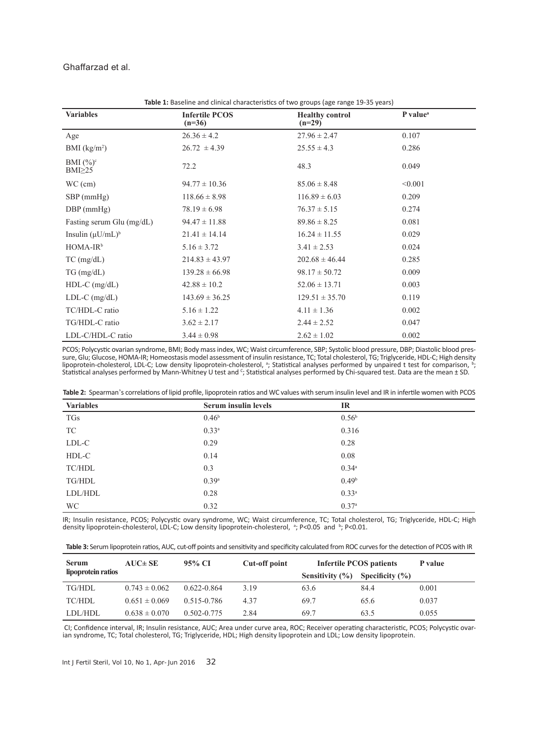Ghaffarzad et al.

| Table 1: Baseline and clinical characteristics of two groups (age range 19-35 years) |                                   |                                    |                      |  |
|--------------------------------------------------------------------------------------|-----------------------------------|------------------------------------|----------------------|--|
| <b>Variables</b>                                                                     | <b>Infertile PCOS</b><br>$(n=36)$ | <b>Healthy control</b><br>$(n=29)$ | P value <sup>a</sup> |  |
| Age                                                                                  | $26.36 \pm 4.2$                   | $27.96 \pm 2.47$                   | 0.107                |  |
| BMI (kg/m <sup>2</sup> )                                                             | $26.72 \pm 4.39$                  | $25.55 \pm 4.3$                    | 0.286                |  |
| BMI $(\%)^c$<br>$BMI \geq 25$                                                        | 72.2                              | 48.3                               | 0.049                |  |
| $WC$ (cm)                                                                            | $94.77 \pm 10.36$                 | $85.06 \pm 8.48$                   | < 0.001              |  |
| SBP (mmHg)                                                                           | $118.66 \pm 8.98$                 | $116.89 \pm 6.03$                  | 0.209                |  |
| $DBP$ (mmHg)                                                                         | $78.19 \pm 6.98$                  | $76.37 \pm 5.15$                   | 0.274                |  |
| Fasting serum Glu (mg/dL)                                                            | $94.47 \pm 11.88$                 | $89.86 \pm 8.25$                   | 0.081                |  |
| Insulin $(\mu U/mL)^b$                                                               | $21.41 \pm 14.14$                 | $16.24 \pm 11.55$                  | 0.029                |  |
| $HOMA-IRb$                                                                           | $5.16 \pm 3.72$                   | $3.41 \pm 2.53$                    | 0.024                |  |
| $TC$ (mg/dL)                                                                         | $214.83 \pm 43.97$                | $202.68 \pm 46.44$                 | 0.285                |  |
| $TG \, (mg/dL)$                                                                      | $139.28 \pm 66.98$                | $98.17 \pm 50.72$                  | 0.009                |  |
| $HDL-C$ (mg/dL)                                                                      | $42.88 \pm 10.2$                  | $52.06 \pm 13.71$                  | 0.003                |  |
| $LDL-C$ (mg/dL)                                                                      | $143.69 \pm 36.25$                | $129.51 \pm 35.70$                 | 0.119                |  |
| TC/HDL-C ratio                                                                       | $5.16 \pm 1.22$                   | $4.11 \pm 1.36$                    | 0.002                |  |
| TG/HDL-C ratio                                                                       | $3.62 \pm 2.17$                   | $2.44 \pm 2.52$                    | 0.047                |  |
| LDL-C/HDL-C ratio                                                                    | $3.44 \pm 0.98$                   | $2.62 \pm 1.02$                    | 0.002                |  |

PCOS; Polycystic ovarian syndrome, BMI; Body mass index, WC; Waist circumference, SBP; Systolic blood pressure, DBP; Diastolic blood pressure, DBP; Diastolic blood pressure, DBP; Diastolic blood pressure, HOMA-IR; Homeosta lipoprotein-cholesterol, LDL-C; Low density lipoprotein-cholesterol, <sup>a</sup>; Statistical analyses performed by unpaired t test for comparison, <sup>b</sup>; Statistical analyses performed by Mann-Whitney U test and <sup>c</sup>; Statistical analyses performed by Chi-squared test. Data are the mean ± SD.

|  |  |  |  | Table 2: Spearman's correlations of lipid profile, lipoprotein ratios and WC values with serum insulin level and IR in infertile women with PCOS |
|--|--|--|--|--------------------------------------------------------------------------------------------------------------------------------------------------|
|--|--|--|--|--------------------------------------------------------------------------------------------------------------------------------------------------|

| <b>Variables</b> | Serum insulin levels | <b>IR</b>         |
|------------------|----------------------|-------------------|
| <b>TGs</b>       | 0.46 <sup>b</sup>    | 0.56 <sup>b</sup> |
| TC               | $0.33^{a}$           | 0.316             |
| LDL-C            | 0.29                 | 0.28              |
| HDL-C            | 0.14                 | 0.08              |
| TC/HDL           | 0.3                  | $0.34^{\circ}$    |
| TG/HDL           | 0.39 <sup>a</sup>    | 0.49 <sup>b</sup> |
| LDL/HDL          | 0.28                 | $0.33^{a}$        |
| WC               | 0.32                 | 0.37 <sup>a</sup> |

IR; Insulin resistance, PCOS; Polycystic ovary syndrome, WC; Waist circumference, TC; Total cholesterol, TG; Triglyceride, HDL-C; High density lipoprotein-cholesterol, LDL-C; Low density lipoprotein-cholesterol, <sup>a</sup>; P<0.05 and <sup>b</sup>; P<0.01.

|  |  |  | Table 3: Serum lipoprotein ratios, AUC, cut-off points and sensitivity and specificity calculated from ROC curves for the detection of PCOS with IR |
|--|--|--|-----------------------------------------------------------------------------------------------------------------------------------------------------|
|--|--|--|-----------------------------------------------------------------------------------------------------------------------------------------------------|

| <b>Serum</b>       | $AUC \pm SE$      | 95% CI          | Cut-off point | <b>Infertile PCOS patients</b> |                     | P value |
|--------------------|-------------------|-----------------|---------------|--------------------------------|---------------------|---------|
| lipoprotein ratios |                   |                 |               | Sensitivity $(\% )$            | Specificity $(\% )$ |         |
| TG/HDL             | $0.743 \pm 0.062$ | $0.622 - 0.864$ | 3.19          | 63.6                           | 84.4                | 0.001   |
| TC/HDL             | $0.651 \pm 0.069$ | 0.515-0.786     | 4.37          | 69.7                           | 65.6                | 0.037   |
| LDL/HDL            | $0.638 \pm 0.070$ | $0.502 - 0.775$ | 2.84          | 69.7                           | 63.5                | 0.055   |

 CI; Confidence interval, IR; Insulin resistance, AUC; Area under curve area, ROC; Receiver operating characteristic, PCOS; Polycystic ovarian syndrome, TC; Total cholesterol, TG; Triglyceride, HDL; High density lipoprotein and LDL; Low density lipoprotein.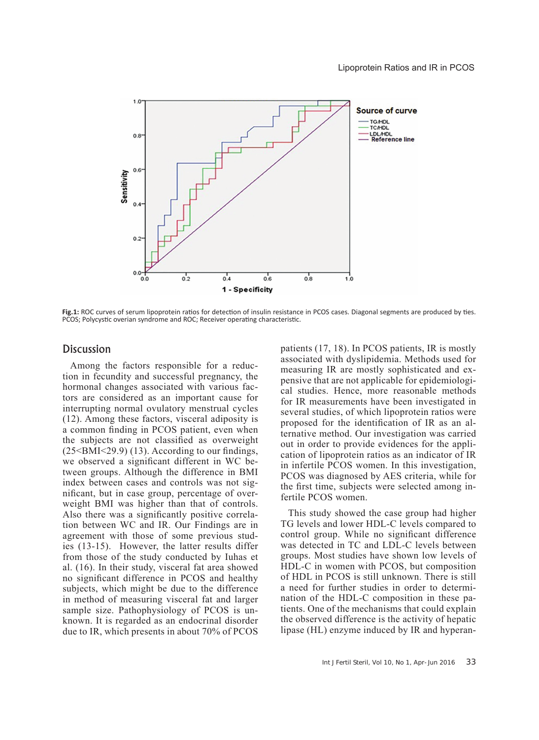

**Fig.1:** ROC curves of serum lipoprotein ratios for detection of insulin resistance in PCOS cases. Diagonal segments are produced by ties. PCOS; Polycystic overian syndrome and ROC; Receiver operating characteristic.

# **Discussion**

Among the factors responsible for a reduction in fecundity and successful pregnancy, the hormonal changes associated with various factors are considered as an important cause for interrupting normal ovulatory menstrual cycles (12). Among these factors, visceral adiposity is a common finding in PCOS patient, even when the subjects are not classified as overweight  $(25\leq BMI\leq 29.9)$  (13). According to our findings, we observed a significant different in WC between groups. Although the difference in BMI index between cases and controls was not significant, but in case group, percentage of overweight BMI was higher than that of controls. Also there was a significantly positive correlation between WC and IR. Our Findings are in agreement with those of some previous studies (13-15). However, the latter results differ from those of the study conducted by Iuhas et al. (16). In their study, visceral fat area showed no significant difference in PCOS and healthy subjects, which might be due to the difference in method of measuring visceral fat and larger sample size. Pathophysiology of PCOS is unknown. It is regarded as an endocrinal disorder due to IR, which presents in about 70% of PCOS

patients (17, 18). In PCOS patients, IR is mostly associated with dyslipidemia. Methods used for measuring IR are mostly sophisticated and expensive that are not applicable for epidemiological studies. Hence, more reasonable methods for IR measurements have been investigated in several studies, of which lipoprotein ratios were proposed for the identification of IR as an alternative method. Our investigation was carried out in order to provide evidences for the application of lipoprotein ratios as an indicator of IR in infertile PCOS women. In this investigation, PCOS was diagnosed by AES criteria, while for the first time, subjects were selected among infertile PCOS women.

This study showed the case group had higher TG levels and lower HDL-C levels compared to control group. While no significant difference was detected in TC and LDL-C levels between groups. Most studies have shown low levels of HDL-C in women with PCOS, but composition of HDL in PCOS is still unknown. There is still a need for further studies in order to determination of the HDL-C composition in these patients. One of the mechanisms that could explain the observed difference is the activity of hepatic lipase (HL) enzyme induced by IR and hyperan-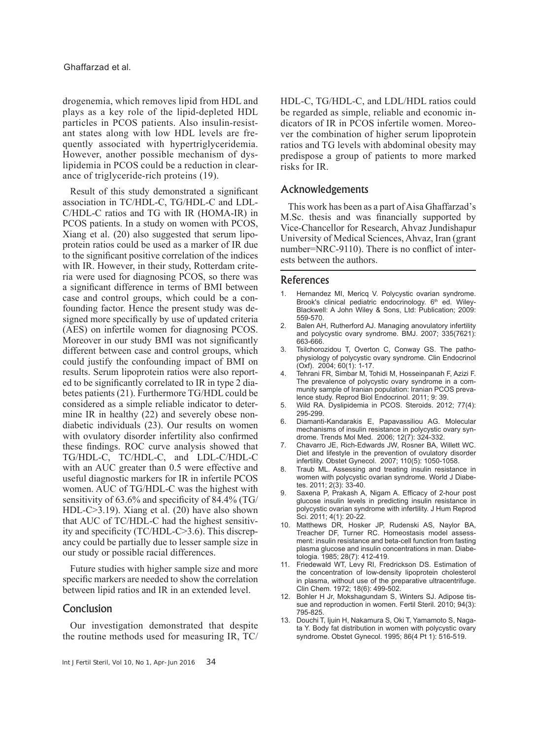drogenemia, which removes lipid from HDL and plays as a key role of the lipid-depleted HDL particles in PCOS patients. Also insulin-resistant states along with low HDL levels are frequently associated with hypertriglyceridemia. However, another possible mechanism of dyslipidemia in PCOS could be a reduction in clearance of triglyceride-rich proteins (19).

Result of this study demonstrated a significant association in TC/HDL-C, TG/HDL-C and LDL-C/HDL-C ratios and TG with IR (HOMA-IR) in PCOS patients. In a study on women with PCOS, Xiang et al. (20) also suggested that serum lipoprotein ratios could be used as a marker of IR due to the significant positive correlation of the indices with IR. However, in their study, Rotterdam criteria were used for diagnosing PCOS, so there was a significant difference in terms of BMI between case and control groups, which could be a confounding factor. Hence the present study was designed more specifically by use of updated criteria (AES) on infertile women for diagnosing PCOS. Moreover in our study BMI was not significantly different between case and control groups, which could justify the confounding impact of BMI on results. Serum lipoprotein ratios were also reported to be significantly correlated to IR in type 2 diabetes patients (21). Furthermore TG/HDL could be considered as a simple reliable indicator to determine IR in healthy (22) and severely obese nondiabetic individuals (23). Our results on women with ovulatory disorder infertility also confirmed these findings. ROC curve analysis showed that TG/HDL-C, TC/HDL-C, and LDL-C/HDL-C with an AUC greater than 0.5 were effective and useful diagnostic markers for IR in infertile PCOS women. AUC of TG/HDL-C was the highest with sensitivity of 63.6% and specificity of 84.4% (TG/ HDL-C>3.19). Xiang et al. (20) have also shown that AUC of TC/HDL-C had the highest sensitivity and specificity (TC/HDL-C>3.6). This discrepancy could be partially due to lesser sample size in our study or possible racial differences.

Future studies with higher sample size and more specific markers are needed to show the correlation between lipid ratios and IR in an extended level.

# Conclusion

Our investigation demonstrated that despite the routine methods used for measuring IR, TC/ HDL-C, TG/HDL-C, and LDL/HDL ratios could be regarded as simple, reliable and economic indicators of IR in PCOS infertile women. Moreover the combination of higher serum lipoprotein ratios and TG levels with abdominal obesity may predispose a group of patients to more marked risks for IR.

# Acknowledgements

This work has been as a part of Aisa Ghaffarzad's M.Sc. thesis and was financially supported by Vice-Chancellor for Research, Ahvaz Jundishapur University of Medical Sciences, Ahvaz, Iran (grant number=NRC-9110). There is no conflict of interests between the authors.

## References

- Hernandez MI, Mericq V. Polycystic ovarian syndrome. Brook's clinical pediatric endocrinology. 6<sup>th</sup> ed. Wiley-Blackwell: A John Wiley & Sons, Ltd: Publication; 2009: 559-570.
- 2. Balen AH, Rutherford AJ. Managing anovulatory infertility and polycystic ovary syndrome. BMJ. 2007; 335(7621): 663-666.
- 3. Tsilchorozidou T, Overton C, Conway GS. The pathophysiology of polycystic ovary syndrome. Clin Endocrinol (Oxf). 2004; 60(1): 1-17.
- 4. Tehrani FR, Simbar M, Tohidi M, Hosseinpanah F, Azizi F. The prevalence of polycystic ovary syndrome in a community sample of Iranian population: Iranian PCOS prevalence study. Reprod Biol Endocrinol. 2011; 9: 39.
- 5. Wild RA. Dyslipidemia in PCOS. Steroids. 2012; 77(4): 295-299.
- 6. Diamanti-Kandarakis E, Papavassiliou AG. Molecular mechanisms of insulin resistance in polycystic ovary syndrome. Trends Mol Med. 2006; 12(7): 324-332.
- 7. Chavarro JE, Rich-Edwards JW, Rosner BA, Willett WC. Diet and lifestyle in the prevention of ovulatory disorder infertility. Obstet Gynecol. 2007; 110(5): 1050-1058.
- 8. Traub ML. Assessing and treating insulin resistance in women with polycystic ovarian syndrome. World J Diabetes. 2011; 2(3): 33-40.
- 9. Saxena P, Prakash A, Nigam A. Efficacy of 2-hour post glucose insulin levels in predicting insulin resistance in polycystic ovarian syndrome with infertility. J Hum Reprod Sci. 2011; 4(1): 20-22.
- 10. Matthews DR, Hosker JP, Rudenski AS, Naylor BA, Treacher DF, Turner RC. Homeostasis model assessment: insulin resistance and beta-cell function from fasting plasma glucose and insulin concentrations in man. Diabetologia. 1985; 28(7): 412-419.
- 11. Friedewald WT, Levy RI, Fredrickson DS. Estimation of the concentration of low-density lipoprotein cholesterol in plasma, without use of the preparative ultracentrifuge. Clin Chem. 1972; 18(6): 499-502.
- 12. Bohler H Jr, Mokshagundam S, Winters SJ. Adipose tissue and reproduction in women. Fertil Steril. 2010; 94(3): 795-825.
- 13. Douchi T, Ijuin H, Nakamura S, Oki T, Yamamoto S, Nagata Y. Body fat distribution in women with polycystic ovary syndrome. Obstet Gynecol. 1995; 86(4 Pt 1): 516-519.